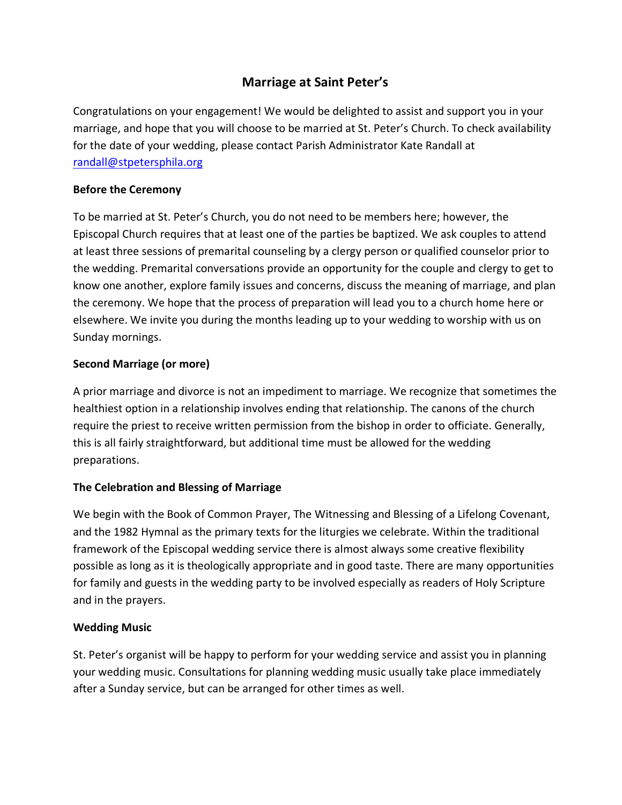# **Marriage at Saint Peter's**

Congratulations on your engagement! We would be delighted to assist and support you in your marriage, and hope that you will choose to be married at St. Peter's Church. To check availability for the date of your wedding, please contact Parish Administrator Kate Randall at randall@stpetersphila.org

# **Before the Ceremony**

To be married at St. Peter's Church, you do not need to be members here; however, the Episcopal Church requires that at least one of the parties be baptized. We ask couples to attend at least three sessions of premarital counseling by a clergy person or qualified counselor prior to the wedding. Premarital conversations provide an opportunity for the couple and clergy to get to know one another, explore family issues and concerns, discuss the meaning of marriage, and plan the ceremony. We hope that the process of preparation will lead you to a church home here or elsewhere. We invite you during the months leading up to your wedding to worship with us on Sunday mornings.

# **Second Marriage (or more)**

A prior marriage and divorce is not an impediment to marriage. We recognize that sometimes the healthiest option in a relationship involves ending that relationship. The canons of the church require the priest to receive written permission from the bishop in order to officiate. Generally, this is all fairly straightforward, but additional time must be allowed for the wedding preparations.

# **The Celebration and Blessing of Marriage**

We begin with the Book of Common Prayer, The Witnessing and Blessing of a Lifelong Covenant, and the 1982 Hymnal as the primary texts for the liturgies we celebrate. Within the traditional framework of the Episcopal wedding service there is almost always some creative flexibility possible as long as it is theologically appropriate and in good taste. There are many opportunities for family and guests in the wedding party to be involved especially as readers of Holy Scripture and in the prayers.

# **Wedding Music**

St. Peter's organist will be happy to perform for your wedding service and assist you in planning your wedding music. Consultations for planning wedding music usually take place immediately after a Sunday service, but can be arranged for other times as well.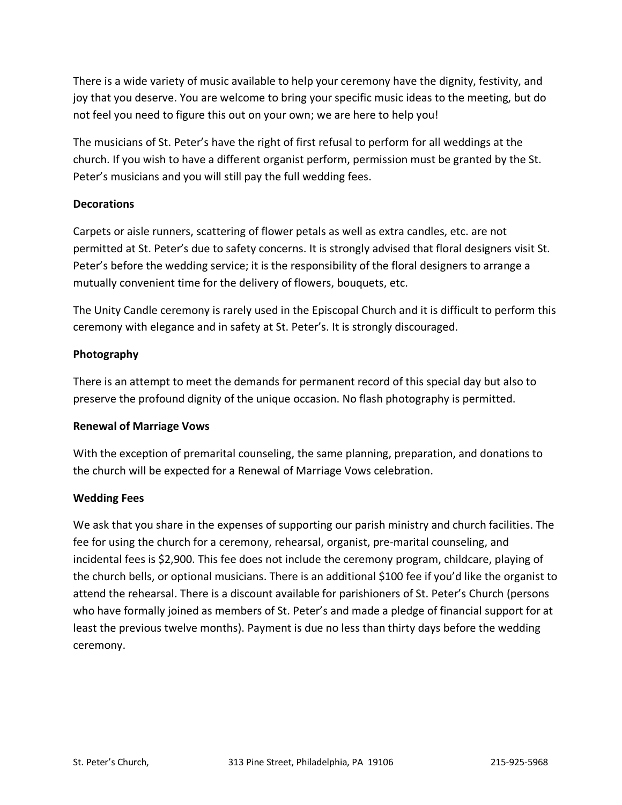There is a wide variety of music available to help your ceremony have the dignity, festivity, and joy that you deserve. You are welcome to bring your specific music ideas to the meeting, but do not feel you need to figure this out on your own; we are here to help you!

The musicians of St. Peter's have the right of first refusal to perform for all weddings at the church. If you wish to have a different organist perform, permission must be granted by the St. Peter's musicians and you will still pay the full wedding fees.

# **Decorations**

Carpets or aisle runners, scattering of flower petals as well as extra candles, etc. are not permitted at St. Peter's due to safety concerns. It is strongly advised that floral designers visit St. Peter's before the wedding service; it is the responsibility of the floral designers to arrange a mutually convenient time for the delivery of flowers, bouquets, etc.

The Unity Candle ceremony is rarely used in the Episcopal Church and it is difficult to perform this ceremony with elegance and in safety at St. Peter's. It is strongly discouraged.

# **Photography**

There is an attempt to meet the demands for permanent record of this special day but also to preserve the profound dignity of the unique occasion. No flash photography is permitted.

## **Renewal of Marriage Vows**

With the exception of premarital counseling, the same planning, preparation, and donations to the church will be expected for a Renewal of Marriage Vows celebration.

## **Wedding Fees**

We ask that you share in the expenses of supporting our parish ministry and church facilities. The fee for using the church for a ceremony, rehearsal, organist, pre-marital counseling, and incidental fees is \$2,900. This fee does not include the ceremony program, childcare, playing of the church bells, or optional musicians. There is an additional \$100 fee if you'd like the organist to attend the rehearsal. There is a discount available for parishioners of St. Peter's Church (persons who have formally joined as members of St. Peter's and made a pledge of financial support for at least the previous twelve months). Payment is due no less than thirty days before the wedding ceremony.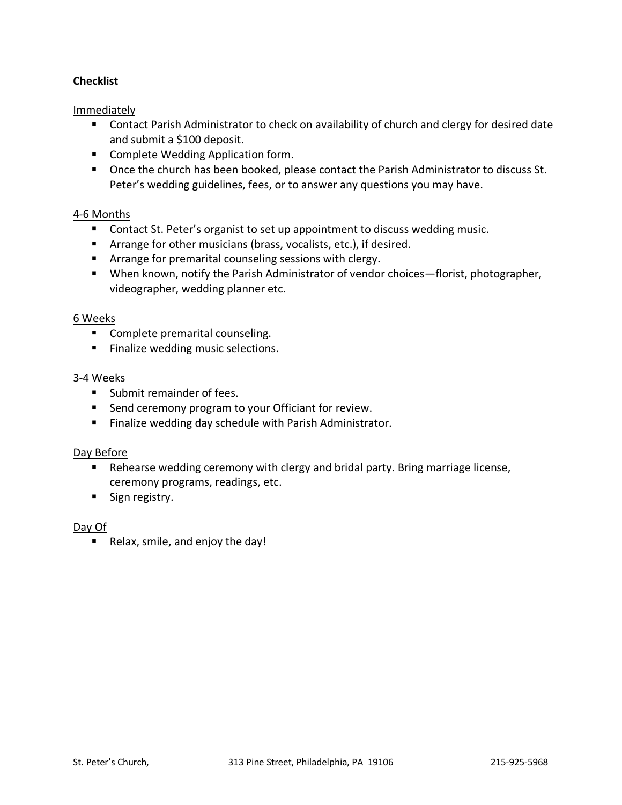# **Checklist**

Immediately

- Contact Parish Administrator to check on availability of church and clergy for desired date and submit a \$100 deposit.
- Complete Wedding Application form.
- Once the church has been booked, please contact the Parish Administrator to discuss St. Peter's wedding guidelines, fees, or to answer any questions you may have.

### 4-6 Months

- Contact St. Peter's organist to set up appointment to discuss wedding music.
- Arrange for other musicians (brass, vocalists, etc.), if desired.
- Arrange for premarital counseling sessions with clergy.
- When known, notify the Parish Administrator of vendor choices—florist, photographer, videographer, wedding planner etc.

#### 6 Weeks

- Complete premarital counseling.
- Finalize wedding music selections.

### 3-4 Weeks

- Submit remainder of fees.
- Send ceremony program to your Officiant for review.
- Finalize wedding day schedule with Parish Administrator.

#### Day Before

- Rehearse wedding ceremony with clergy and bridal party. Bring marriage license, ceremony programs, readings, etc.
- Sign registry.

#### Day Of

■ Relax, smile, and enjoy the day!